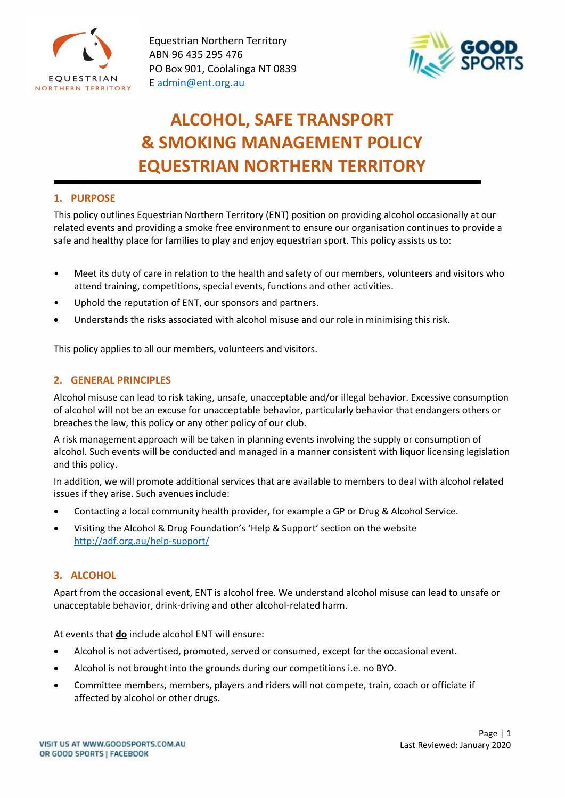

Equestrian Northern Territory ABN 96 435 295 476 PO Box 901, Coolalinga NT 0839 E [admin@ent.org.au](mailto:admin@ent.org.au)



# **ALCOHOL, SAFE TRANSPORT & SMOKING MANAGEMENT POLICY EQUESTRIAN NORTHERN TERRITORY**

## **1. PURPOSE**

This policy outlines Equestrian Northern Territory (ENT) position on providing alcohol occasionally at our related events and providing a smoke free environment to ensure our organisation continues to provide a safe and healthy place for families to play and enjoy equestrian sport. This policy assists us to:

- Meet its duty of care in relation to the health and safety of our members, volunteers and visitors who attend training, competitions, special events, functions and other activities.
- Uphold the reputation of ENT, our sponsors and partners.
- Understands the risks associated with alcohol misuse and our role in minimising this risk.

This policy applies to all our members, volunteers and visitors.

## **2. GENERAL PRINCIPLES**

Alcohol misuse can lead to risk taking, unsafe, unacceptable and/or illegal behavior. Excessive consumption of alcohol will not be an excuse for unacceptable behavior, particularly behavior that endangers others or breaches the law, this policy or any other policy of our club.

A risk management approach will be taken in planning events involving the supply or consumption of alcohol. Such events will be conducted and managed in a manner consistent with liquor licensing legislation and this policy.

In addition, we will promote additional services that are available to members to deal with alcohol related issues if they arise. Such avenues include:

- Contacting a local community health provider, for example a GP or Drug & Alcohol Service.
- Visiting the Alcohol & Drug Foundation's 'Help & Support' section on the website <http://adf.org.au/help-support/>

# **3. ALCOHOL**

Apart from the occasional event, ENT is alcohol free. We understand alcohol misuse can lead to unsafe or unacceptable behavior, drink-driving and other alcohol-related harm.

At events that **do** include alcohol ENT will ensure:

- Alcohol is not advertised, promoted, served or consumed, except for the occasional event.
- Alcohol is not brought into the grounds during our competitions i.e. no BYO.
- Committee members, members, players and riders will not compete, train, coach or officiate if affected by alcohol or other drugs.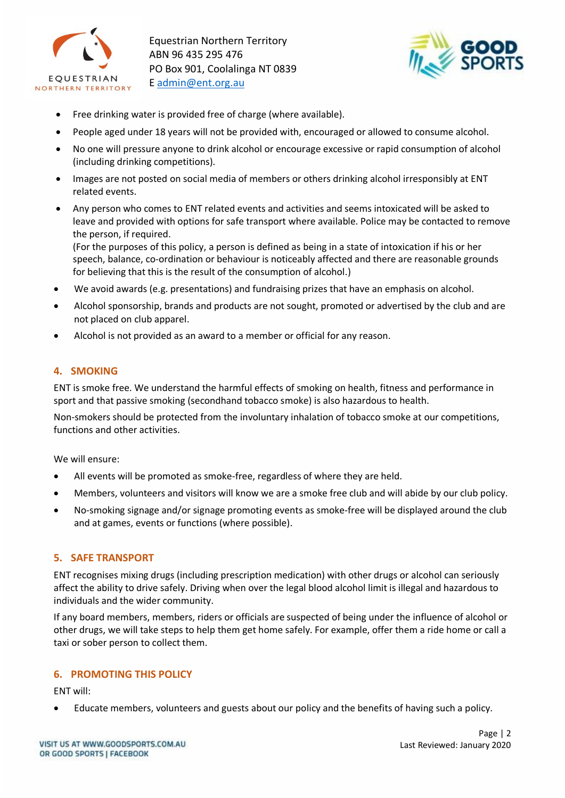

Equestrian Northern Territory ABN 96 435 295 476 PO Box 901, Coolalinga NT 0839 E [admin@ent.org.au](mailto:admin@ent.org.au)



- Free drinking water is provided free of charge (where available).
- People aged under 18 years will not be provided with, encouraged or allowed to consume alcohol.
- No one will pressure anyone to drink alcohol or encourage excessive or rapid consumption of alcohol (including drinking competitions).
- Images are not posted on social media of members or others drinking alcohol irresponsibly at ENT related events.
- Any person who comes to ENT related events and activities and seems intoxicated will be asked to leave and provided with options for safe transport where available. Police may be contacted to remove the person, if required.

(For the purposes of this policy, a person is defined as being in a state of intoxication if his or her speech, balance, co-ordination or behaviour is noticeably affected and there are reasonable grounds for believing that this is the result of the consumption of alcohol.)

- We avoid awards (e.g. presentations) and fundraising prizes that have an emphasis on alcohol.
- Alcohol sponsorship, brands and products are not sought, promoted or advertised by the club and are not placed on club apparel.
- Alcohol is not provided as an award to a member or official for any reason.

#### **4. SMOKING**

ENT is smoke free. We understand the harmful effects of smoking on health, fitness and performance in sport and that passive smoking (secondhand tobacco smoke) is also hazardous to health.

Non-smokers should be protected from the involuntary inhalation of tobacco smoke at our competitions, functions and other activities.

We will ensure:

- All events will be promoted as smoke-free, regardless of where they are held.
- Members, volunteers and visitors will know we are a smoke free club and will abide by our club policy.
- No-smoking signage and/or signage promoting events as smoke-free will be displayed around the club and at games, events or functions (where possible).

#### **5. SAFE TRANSPORT**

ENT recognises mixing drugs (including prescription medication) with other drugs or alcohol can seriously affect the ability to drive safely. Driving when over the legal blood alcohol limit is illegal and hazardous to individuals and the wider community.

If any board members, members, riders or officials are suspected of being under the influence of alcohol or other drugs, we will take steps to help them get home safely. For example, offer them a ride home or call a taxi or sober person to collect them.

#### **6. PROMOTING THIS POLICY**

ENT will:

• Educate members, volunteers and guests about our policy and the benefits of having such a policy.